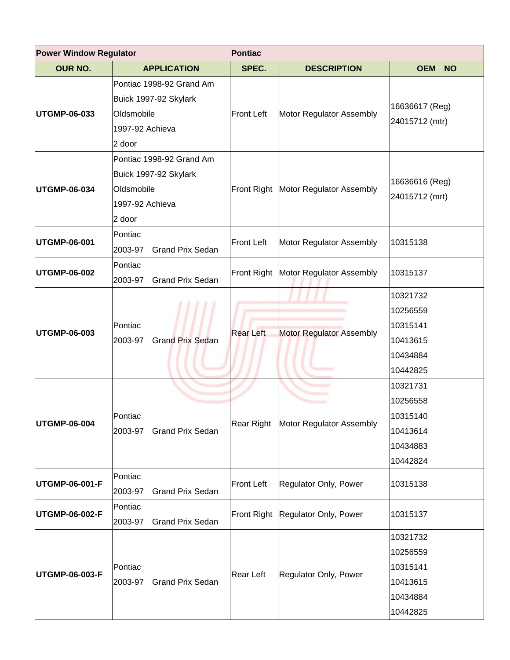| <b>Power Window Regulator</b> |                                                                                              | <b>Pontiac</b>    |                                        |                                                                      |  |
|-------------------------------|----------------------------------------------------------------------------------------------|-------------------|----------------------------------------|----------------------------------------------------------------------|--|
| <b>OUR NO.</b>                | <b>APPLICATION</b>                                                                           | SPEC.             | <b>DESCRIPTION</b>                     | <b>OEM</b><br><b>NO</b>                                              |  |
| <b>UTGMP-06-033</b>           | Pontiac 1998-92 Grand Am<br>Buick 1997-92 Skylark<br>Oldsmobile<br>1997-92 Achieva<br>2 door | Front Left        | Motor Regulator Assembly               | 16636617 (Reg)<br>24015712 (mtr)                                     |  |
| <b>UTGMP-06-034</b>           | Pontiac 1998-92 Grand Am<br>Buick 1997-92 Skylark<br>Oldsmobile<br>1997-92 Achieva<br>2 door |                   | Front Right   Motor Regulator Assembly | 16636616 (Reg)<br>24015712 (mrt)                                     |  |
| <b>UTGMP-06-001</b>           | Pontiac<br><b>Grand Prix Sedan</b><br>2003-97                                                | <b>Front Left</b> | Motor Regulator Assembly               | 10315138                                                             |  |
| <b>UTGMP-06-002</b>           | Pontiac<br><b>Grand Prix Sedan</b><br>2003-97                                                | Front Right       | Motor Regulator Assembly               | 10315137                                                             |  |
| <b>UTGMP-06-003</b>           | Pontiac<br><b>Grand Prix Sedan</b><br>2003-97                                                | <b>Rear Left</b>  | <b>Motor Regulator Assembly</b>        | 10321732<br>10256559<br>10315141<br>10413615<br>10434884<br>10442825 |  |
| <b>UTGMP-06-004</b>           | Pontiac<br>2003-97 Grand Prix Sedan                                                          |                   | Rear Right Motor Regulator Assembly    | 10321731<br>10256558<br>10315140<br>10413614<br>10434883<br>10442824 |  |
| <b>UTGMP-06-001-F</b>         | Pontiac<br><b>Grand Prix Sedan</b><br>2003-97                                                | Front Left        | Regulator Only, Power                  | 10315138                                                             |  |
| <b>UTGMP-06-002-F</b>         | Pontiac<br><b>Grand Prix Sedan</b><br>2003-97                                                |                   | Front Right Regulator Only, Power      | 10315137                                                             |  |
| UTGMP-06-003-F                | Pontiac<br><b>Grand Prix Sedan</b><br>2003-97                                                | Rear Left         | Regulator Only, Power                  | 10321732<br>10256559<br>10315141<br>10413615<br>10434884<br>10442825 |  |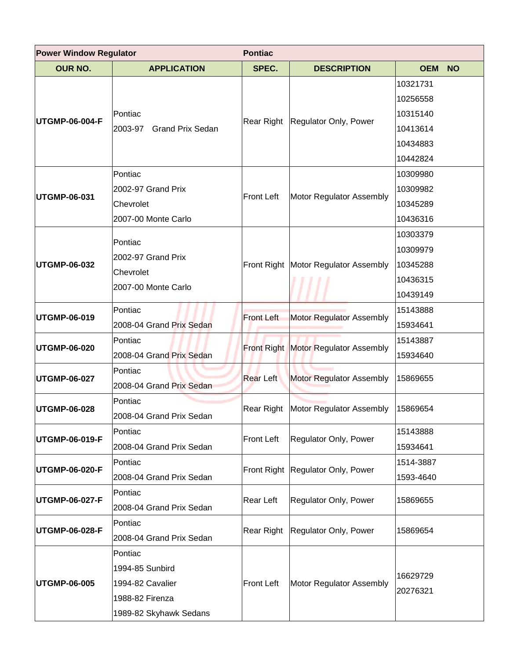| <b>Power Window Regulator</b><br><b>Pontiac</b> |                                    |                   |                                             |                         |  |
|-------------------------------------------------|------------------------------------|-------------------|---------------------------------------------|-------------------------|--|
| <b>OUR NO.</b>                                  | <b>APPLICATION</b>                 | SPEC.             | <b>DESCRIPTION</b>                          | <b>OEM</b><br><b>NO</b> |  |
| UTGMP-06-004-F                                  |                                    |                   |                                             | 10321731                |  |
|                                                 |                                    |                   |                                             | 10256558                |  |
|                                                 | Pontiac                            | Rear Right        | Regulator Only, Power                       | 10315140                |  |
|                                                 | 2003-97<br><b>Grand Prix Sedan</b> |                   |                                             | 10413614                |  |
|                                                 |                                    |                   |                                             | 10434883                |  |
|                                                 |                                    |                   |                                             | 10442824                |  |
|                                                 | Pontiac                            |                   |                                             | 10309980                |  |
| UTGMP-06-031                                    | 2002-97 Grand Prix                 | <b>Front Left</b> | Motor Regulator Assembly                    | 10309982                |  |
|                                                 | Chevrolet                          |                   |                                             | 10345289                |  |
|                                                 | 2007-00 Monte Carlo                |                   |                                             | 10436316                |  |
|                                                 | Pontiac                            |                   |                                             | 10303379                |  |
|                                                 | 2002-97 Grand Prix                 |                   |                                             | 10309979                |  |
| <b>UTGMP-06-032</b>                             | Chevrolet                          |                   | Front Right   Motor Regulator Assembly      | 10345288                |  |
|                                                 | 2007-00 Monte Carlo                |                   |                                             | 10436315                |  |
|                                                 |                                    |                   |                                             | 10439149                |  |
|                                                 | Pontiac                            | <b>Front Left</b> | Motor Regulator Assembly                    | 15143888                |  |
| UTGMP-06-019                                    | 2008-04 Grand Prix Sedan           |                   |                                             | 15934641                |  |
| <b>UTGMP-06-020</b>                             | Pontiac                            |                   | <b>Front Right Motor Regulator Assembly</b> | 15143887                |  |
|                                                 | 2008-04 Grand Prix Sedan           |                   |                                             | 15934640                |  |
| UTGMP-06-027                                    | Pontiac                            | <b>Rear Left</b>  | Motor Regulator Assembly                    | 15869655                |  |
|                                                 | 2008-04 Grand Prix Sedan           |                   |                                             |                         |  |
| UTGMP-06-028                                    | Pontiac                            |                   | Rear Right   Motor Regulator Assembly       | 15869654                |  |
|                                                 | 2008-04 Grand Prix Sedan           |                   |                                             |                         |  |
| UTGMP-06-019-F                                  | Pontiac                            | <b>Front Left</b> | Regulator Only, Power                       | 15143888                |  |
|                                                 | 2008-04 Grand Prix Sedan           |                   |                                             | 15934641                |  |
|                                                 | Pontiac                            |                   | Front Right Regulator Only, Power           | 1514-3887               |  |
| UTGMP-06-020-F                                  | 2008-04 Grand Prix Sedan           |                   |                                             | 1593-4640               |  |
| UTGMP-06-027-F                                  | Pontiac                            | Rear Left         | Regulator Only, Power                       | 15869655                |  |
|                                                 | 2008-04 Grand Prix Sedan           |                   |                                             |                         |  |
| UTGMP-06-028-F                                  | Pontiac                            | <b>Rear Right</b> | Regulator Only, Power                       | 15869654                |  |
|                                                 | 2008-04 Grand Prix Sedan           |                   |                                             |                         |  |
| UTGMP-06-005                                    | Pontiac                            |                   | Motor Regulator Assembly                    |                         |  |
|                                                 | 1994-85 Sunbird                    |                   |                                             | 16629729                |  |
|                                                 | 1994-82 Cavalier                   | <b>Front Left</b> |                                             |                         |  |
|                                                 | 1988-82 Firenza                    |                   |                                             | 20276321                |  |
|                                                 | 1989-82 Skyhawk Sedans             |                   |                                             |                         |  |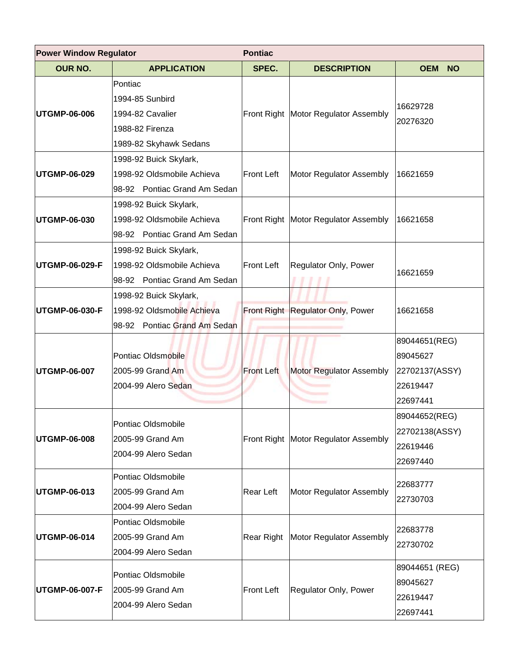| <b>Power Window Regulator</b><br><b>Pontiac</b> |                                                                                             |                   |                                        |                                                                     |
|-------------------------------------------------|---------------------------------------------------------------------------------------------|-------------------|----------------------------------------|---------------------------------------------------------------------|
| <b>OUR NO.</b>                                  | <b>APPLICATION</b>                                                                          | SPEC.             | <b>DESCRIPTION</b>                     | <b>OEM</b><br><b>NO</b>                                             |
| <b>UTGMP-06-006</b>                             | Pontiac<br>1994-85 Sunbird<br>1994-82 Cavalier<br>1988-82 Firenza<br>1989-82 Skyhawk Sedans |                   | Front Right   Motor Regulator Assembly | 16629728<br>20276320                                                |
| <b>UTGMP-06-029</b>                             | 1998-92 Buick Skylark,<br>1998-92 Oldsmobile Achieva<br>98-92 Pontiac Grand Am Sedan        | <b>Front Left</b> | Motor Regulator Assembly               | 16621659                                                            |
| UTGMP-06-030                                    | 1998-92 Buick Skylark,<br>1998-92 Oldsmobile Achieva<br>98-92 Pontiac Grand Am Sedan        |                   | Front Right   Motor Regulator Assembly | 16621658                                                            |
| UTGMP-06-029-F                                  | 1998-92 Buick Skylark,<br>1998-92 Oldsmobile Achieva<br>98-92 Pontiac Grand Am Sedan        | <b>Front Left</b> | Regulator Only, Power                  | 16621659                                                            |
| UTGMP-06-030-F                                  | 1998-92 Buick Skylark,<br>1998-92 Oldsmobile Achieva<br>98-92 Pontiac Grand Am Sedan        |                   | Front Right Regulator Only, Power      | 16621658                                                            |
| UTGMP-06-007                                    | Pontiac Oldsmobile<br>2005-99 Grand Am<br>2004-99 Alero Sedan                               | <b>Front Left</b> | <b>Motor Regulator Assembly</b>        | 89044651(REG)<br>89045627<br>22702137(ASSY)<br>22619447<br>22697441 |
| <b>UTGMP-06-008</b>                             | Pontiac Oldsmobile<br>2005-99 Grand Am<br>2004-99 Alero Sedan                               |                   | Front Right   Motor Regulator Assembly | 89044652(REG)<br>22702138(ASSY)<br>22619446<br>22697440             |
| UTGMP-06-013                                    | Pontiac Oldsmobile<br>2005-99 Grand Am<br>2004-99 Alero Sedan                               | Rear Left         | Motor Regulator Assembly               | 22683777<br>22730703                                                |
| UTGMP-06-014                                    | Pontiac Oldsmobile<br>2005-99 Grand Am<br>2004-99 Alero Sedan                               |                   | Rear Right   Motor Regulator Assembly  | 22683778<br>22730702                                                |
| UTGMP-06-007-F                                  | Pontiac Oldsmobile<br>2005-99 Grand Am<br>2004-99 Alero Sedan                               | Front Left        | Regulator Only, Power                  | 89044651 (REG)<br>89045627<br>22619447<br>22697441                  |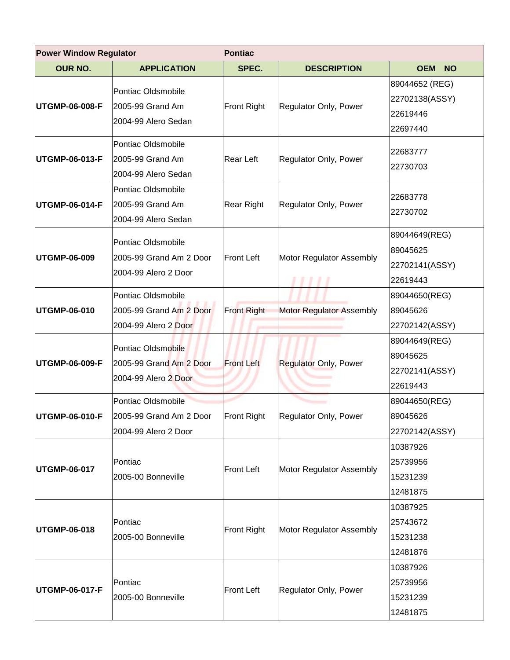| <b>Power Window Regulator</b> |                                                                       | <b>Pontiac</b>     |                                 |                                                          |  |
|-------------------------------|-----------------------------------------------------------------------|--------------------|---------------------------------|----------------------------------------------------------|--|
| <b>OUR NO.</b>                | <b>APPLICATION</b>                                                    | SPEC.              | <b>DESCRIPTION</b>              | <b>OEM</b><br><b>NO</b>                                  |  |
| UTGMP-06-008-F                | Pontiac Oldsmobile<br>2005-99 Grand Am<br>2004-99 Alero Sedan         | <b>Front Right</b> | Regulator Only, Power           | 89044652 (REG)<br>22702138(ASSY)<br>22619446<br>22697440 |  |
| UTGMP-06-013-F                | Pontiac Oldsmobile<br>2005-99 Grand Am<br>2004-99 Alero Sedan         | Rear Left          | Regulator Only, Power           | 22683777<br>22730703                                     |  |
| UTGMP-06-014-F                | Pontiac Oldsmobile<br>2005-99 Grand Am<br>2004-99 Alero Sedan         | Rear Right         | Regulator Only, Power           | 22683778<br>22730702                                     |  |
| UTGMP-06-009                  | Pontiac Oldsmobile<br>2005-99 Grand Am 2 Door<br>2004-99 Alero 2 Door | <b>Front Left</b>  | Motor Regulator Assembly        | 89044649(REG)<br>89045625<br>22702141(ASSY)<br>22619443  |  |
|                               | Pontiac Oldsmobile                                                    | <b>Front Right</b> |                                 | 89044650(REG)                                            |  |
| UTGMP-06-010                  | 2005-99 Grand Am 2 Door<br>2004-99 Alero 2 Door                       |                    | <b>Motor Regulator Assembly</b> | 89045626<br>22702142(ASSY)                               |  |
| UTGMP-06-009-F                | Pontiac Oldsmobile<br>2005-99 Grand Am 2 Door<br>2004-99 Alero 2 Door | <b>Front Left</b>  | <b>Regulator Only, Power</b>    | 89044649(REG)<br>89045625<br>22702141(ASSY)<br>22619443  |  |
| <b>UTGMP-06-010-F</b>         | Pontiac Oldsmobile<br>2005-99 Grand Am 2 Door<br>2004-99 Alero 2 Door | Front Right        | Regulator Only, Power           | 89044650(REG)<br>89045626<br>22702142(ASSY)              |  |
| <b>UTGMP-06-017</b>           | Pontiac<br>2005-00 Bonneville                                         | <b>Front Left</b>  | Motor Regulator Assembly        | 10387926<br>25739956<br>15231239<br>12481875             |  |
| UTGMP-06-018                  | Pontiac<br>2005-00 Bonneville                                         | <b>Front Right</b> | Motor Regulator Assembly        | 10387925<br>25743672<br>15231238<br>12481876             |  |
| UTGMP-06-017-F                | Pontiac<br>2005-00 Bonneville                                         | <b>Front Left</b>  | Regulator Only, Power           | 10387926<br>25739956<br>15231239<br>12481875             |  |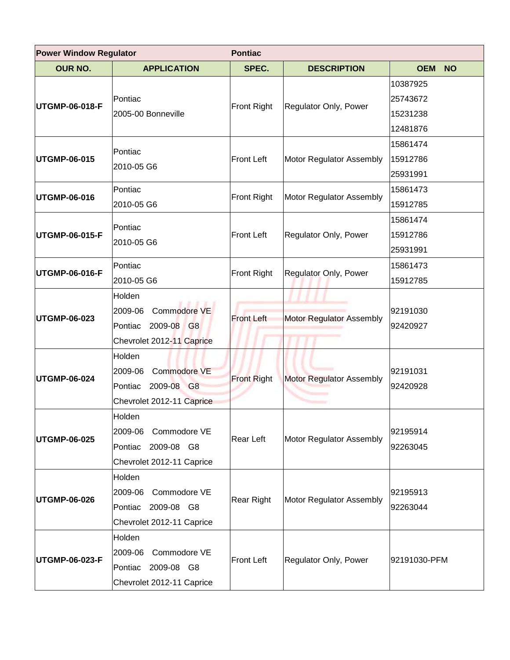| <b>Power Window Regulator</b> |                                                                                         | <b>Pontiac</b>     |                                 |                                              |  |
|-------------------------------|-----------------------------------------------------------------------------------------|--------------------|---------------------------------|----------------------------------------------|--|
| <b>OUR NO.</b>                | <b>APPLICATION</b>                                                                      | SPEC.              | <b>DESCRIPTION</b>              | <b>OEM</b><br><b>NO</b>                      |  |
| UTGMP-06-018-F                | Pontiac<br>2005-00 Bonneville                                                           | <b>Front Right</b> | Regulator Only, Power           | 10387925<br>25743672<br>15231238<br>12481876 |  |
| UTGMP-06-015                  | Pontiac<br>2010-05 G6                                                                   | <b>Front Left</b>  | Motor Regulator Assembly        | 15861474<br>15912786<br>25931991             |  |
| UTGMP-06-016                  | Pontiac<br>2010-05 G6                                                                   | Front Right        | Motor Regulator Assembly        | 15861473<br>15912785                         |  |
| UTGMP-06-015-F                | Pontiac<br>2010-05 G6                                                                   | <b>Front Left</b>  | Regulator Only, Power           | 15861474<br>15912786<br>25931991             |  |
| UTGMP-06-016-F                | Pontiac<br>2010-05 G6                                                                   | <b>Front Right</b> | Regulator Only, Power           | 15861473<br>15912785                         |  |
| UTGMP-06-023                  | Holden<br>2009-06<br>Commodore VE<br>2009-08 G8<br>Pontiac<br>Chevrolet 2012-11 Caprice | <b>Front Left</b>  | Motor Regulator Assembly        | 92191030<br>92420927                         |  |
| <b>UTGMP-06-024</b>           | Holden<br>Commodore VE<br>2009-06<br>Pontiac<br>2009-08 G8<br>Chevrolet 2012-11 Caprice | <b>Front Right</b> | <b>Motor Regulator Assembly</b> | 92191031<br>92420928                         |  |
| <b>UTGMP-06-025</b>           | Holden<br>2009-06 Commodore VE<br>Pontiac 2009-08 G8<br>Chevrolet 2012-11 Caprice       | Rear Left          | Motor Regulator Assembly        | 92195914<br>92263045                         |  |
| <b>UTGMP-06-026</b>           | Holden<br>Commodore VE<br>2009-06<br>Pontiac 2009-08 G8<br>Chevrolet 2012-11 Caprice    | Rear Right         | Motor Regulator Assembly        | 92195913<br>92263044                         |  |
| UTGMP-06-023-F                | Holden<br>2009-06 Commodore VE<br>Pontiac 2009-08 G8<br>Chevrolet 2012-11 Caprice       | <b>Front Left</b>  | Regulator Only, Power           | 92191030-PFM                                 |  |